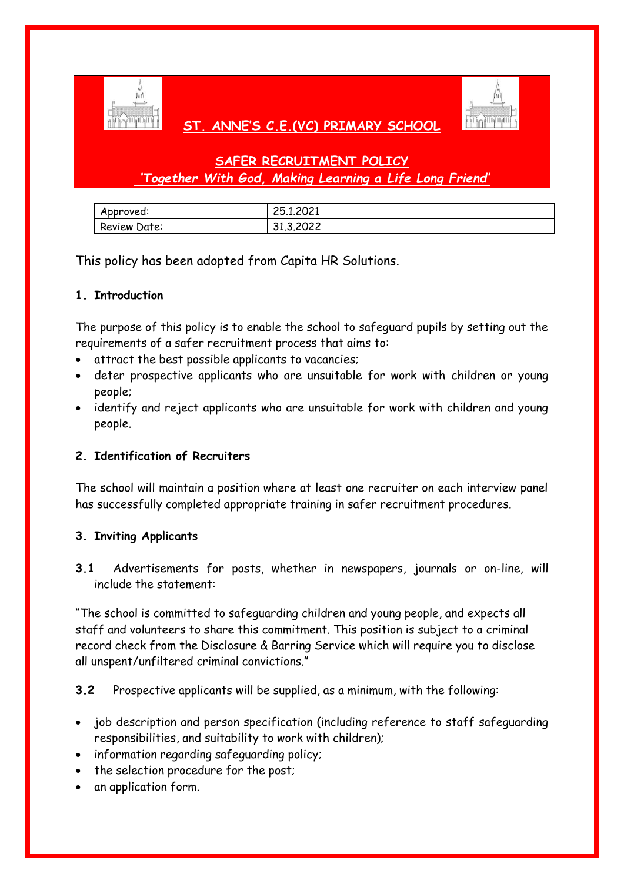

# **ST. ANNE'S C.E.(VC) PRIMARY SCHOOL**



# **SAFER RECRUITMENT POLICY** *'Together With God, Making Learning a Life Long Friend'*

| Approved:    | 25.1.2021 |
|--------------|-----------|
| Review Date: | 31.3.2022 |

This policy has been adopted from Capita HR Solutions.

# **1. Introduction**

The purpose of this policy is to enable the school to safeguard pupils by setting out the requirements of a safer recruitment process that aims to:

- attract the best possible applicants to vacancies;
- deter prospective applicants who are unsuitable for work with children or young people;
- identify and reject applicants who are unsuitable for work with children and young people.

# **2. Identification of Recruiters**

The school will maintain a position where at least one recruiter on each interview panel has successfully completed appropriate training in safer recruitment procedures.

### **3. Inviting Applicants**

**3.1** Advertisements for posts, whether in newspapers, journals or on-line, will include the statement:

"The school is committed to safeguarding children and young people, and expects all staff and volunteers to share this commitment. This position is subject to a criminal record check from the Disclosure & Barring Service which will require you to disclose all unspent/unfiltered criminal convictions."

**3.2** Prospective applicants will be supplied, as a minimum, with the following:

- job description and person specification (including reference to staff safeguarding responsibilities, and suitability to work with children);
- information regarding safeguarding policy;
- the selection procedure for the post;
- an application form.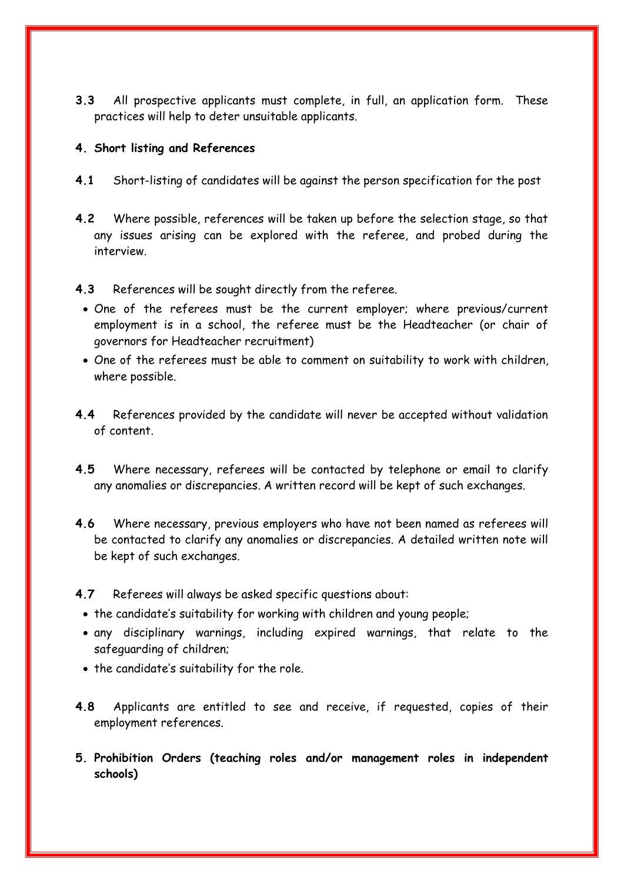**3.3** All prospective applicants must complete, in full, an application form. These practices will help to deter unsuitable applicants.

#### **4. Short listing and References**

- **4.1** Short-listing of candidates will be against the person specification for the post
- **4.2** Where possible, references will be taken up before the selection stage, so that any issues arising can be explored with the referee, and probed during the interview.

#### **4.3** References will be sought directly from the referee.

- One of the referees must be the current employer; where previous/current employment is in a school, the referee must be the Headteacher (or chair of governors for Headteacher recruitment)
- One of the referees must be able to comment on suitability to work with children, where possible.
- **4.4** References provided by the candidate will never be accepted without validation of content.
- **4.5** Where necessary, referees will be contacted by telephone or email to clarify any anomalies or discrepancies. A written record will be kept of such exchanges.
- **4.6** Where necessary, previous employers who have not been named as referees will be contacted to clarify any anomalies or discrepancies. A detailed written note will be kept of such exchanges.
- **4.7** Referees will always be asked specific questions about:
	- the candidate's suitability for working with children and young people;
	- any disciplinary warnings, including expired warnings, that relate to the safeguarding of children;
	- the candidate's suitability for the role.
- **4.8** Applicants are entitled to see and receive, if requested, copies of their employment references.
- **5. Prohibition Orders (teaching roles and/or management roles in independent schools)**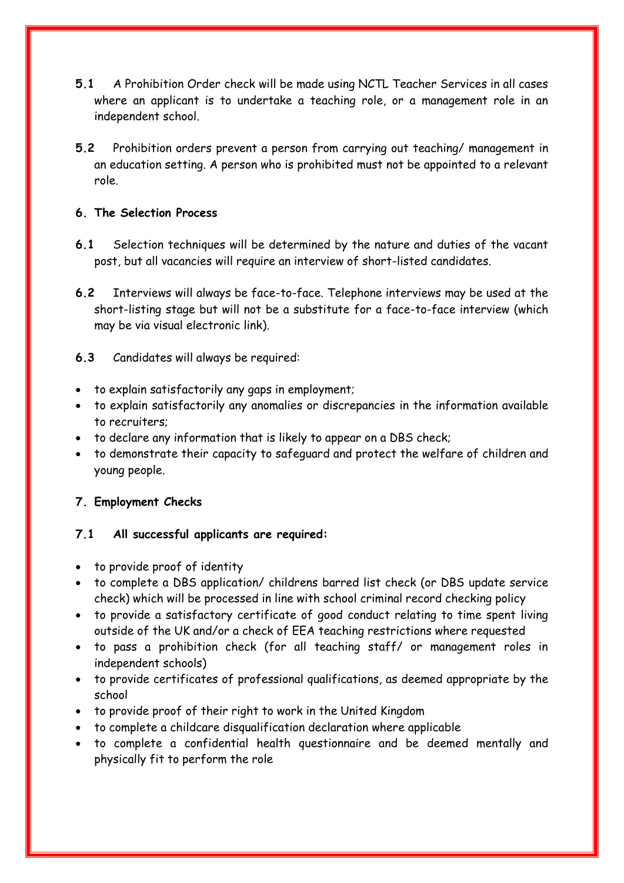- **5.1** A Prohibition Order check will be made using NCTL Teacher Services in all cases where an applicant is to undertake a teaching role, or a management role in an independent school.
- **5.2** Prohibition orders prevent a person from carrying out teaching/ management in an education setting. A person who is prohibited must not be appointed to a relevant role.

### **6. The Selection Process**

- **6.1** Selection techniques will be determined by the nature and duties of the vacant post, but all vacancies will require an interview of short-listed candidates.
- **6.2** Interviews will always be face-to-face. Telephone interviews may be used at the short-listing stage but will not be a substitute for a face-to-face interview (which may be via visual electronic link).

### **6.3** Candidates will always be required:

- to explain satisfactorily any gaps in employment;
- to explain satisfactorily any anomalies or discrepancies in the information available to recruiters;
- to declare any information that is likely to appear on a DBS check;
- to demonstrate their capacity to safeguard and protect the welfare of children and young people.

# **7. Employment Checks**

# **7.1 All successful applicants are required:**

- to provide proof of identity
- to complete a DBS application/ childrens barred list check (or DBS update service check) which will be processed in line with school criminal record checking policy
- to provide a satisfactory certificate of good conduct relating to time spent living outside of the UK and/or a check of EEA teaching restrictions where requested
- to pass a prohibition check (for all teaching staff/ or management roles in independent schools)
- to provide certificates of professional qualifications, as deemed appropriate by the school
- to provide proof of their right to work in the United Kingdom
- to complete a childcare disqualification declaration where applicable
- to complete a confidential health questionnaire and be deemed mentally and physically fit to perform the role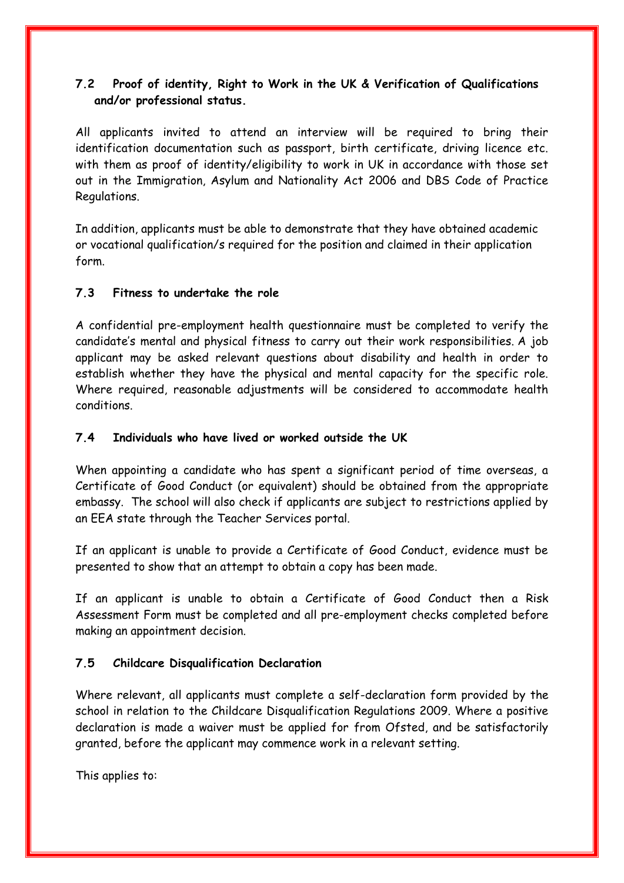# **7.2 Proof of identity, Right to Work in the UK & Verification of Qualifications and/or professional status.**

All applicants invited to attend an interview will be required to bring their identification documentation such as passport, birth certificate, driving licence etc. with them as proof of identity/eligibility to work in UK in accordance with those set out in the Immigration, Asylum and Nationality Act 2006 and DBS Code of Practice Regulations.

In addition, applicants must be able to demonstrate that they have obtained academic or vocational qualification/s required for the position and claimed in their application form.

### **7.3 Fitness to undertake the role**

A confidential pre-employment health questionnaire must be completed to verify the candidate's mental and physical fitness to carry out their work responsibilities. A job applicant may be asked relevant questions about disability and health in order to establish whether they have the physical and mental capacity for the specific role. Where required, reasonable adjustments will be considered to accommodate health conditions.

### **7.4 Individuals who have lived or worked outside the UK**

When appointing a candidate who has spent a significant period of time overseas, a Certificate of Good Conduct (or equivalent) should be obtained from the appropriate embassy. The school will also check if applicants are subject to restrictions applied by an EEA state through the Teacher Services portal.

If an applicant is unable to provide a Certificate of Good Conduct, evidence must be presented to show that an attempt to obtain a copy has been made.

If an applicant is unable to obtain a Certificate of Good Conduct then a Risk Assessment Form must be completed and all pre-employment checks completed before making an appointment decision.

### **7.5 Childcare Disqualification Declaration**

Where relevant, all applicants must complete a self-declaration form provided by the school in relation to the Childcare Disqualification Regulations 2009. Where a positive declaration is made a waiver must be applied for from Ofsted, and be satisfactorily granted, before the applicant may commence work in a relevant setting.

This applies to: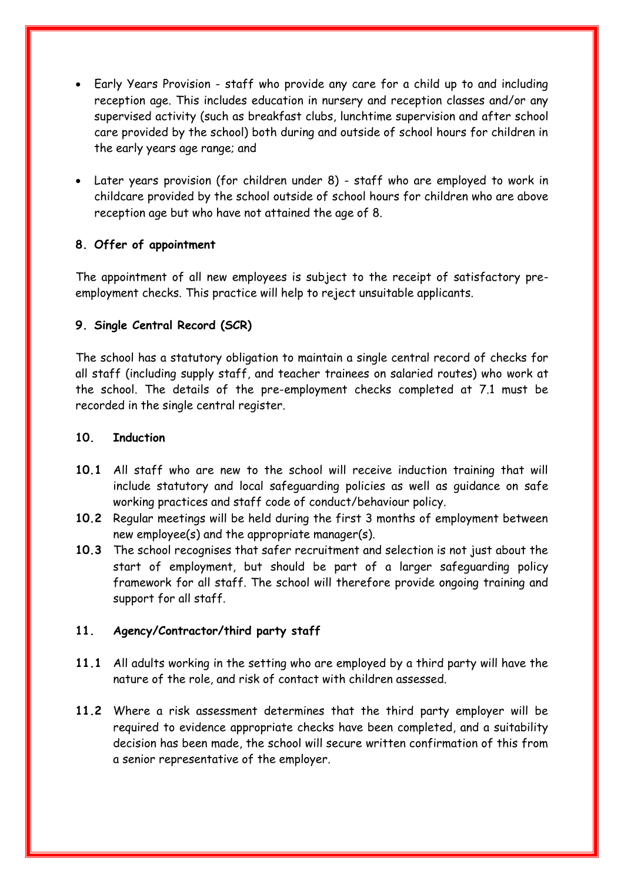- Early Years Provision staff who provide any care for a child up to and including reception age. This includes education in nursery and reception classes and/or any supervised activity (such as breakfast clubs, lunchtime supervision and after school care provided by the school) both during and outside of school hours for children in the early years age range; and
- Later years provision (for children under 8) staff who are employed to work in childcare provided by the school outside of school hours for children who are above reception age but who have not attained the age of 8.

### **8. Offer of appointment**

The appointment of all new employees is subject to the receipt of satisfactory preemployment checks. This practice will help to reject unsuitable applicants.

### **9. Single Central Record (SCR)**

The school has a statutory obligation to maintain a single central record of checks for all staff (including supply staff, and teacher trainees on salaried routes) who work at the school. The details of the pre-employment checks completed at 7.1 must be recorded in the single central register.

#### **10. Induction**

- **10.1** All staff who are new to the school will receive induction training that will include statutory and local safeguarding policies as well as guidance on safe working practices and staff code of conduct/behaviour policy.
- **10.2** Regular meetings will be held during the first 3 months of employment between new employee(s) and the appropriate manager(s).
- **10.3** The school recognises that safer recruitment and selection is not just about the start of employment, but should be part of a larger safeguarding policy framework for all staff. The school will therefore provide ongoing training and support for all staff.

### **11. Agency/Contractor/third party staff**

- **11.1** All adults working in the setting who are employed by a third party will have the nature of the role, and risk of contact with children assessed.
- **11.2** Where a risk assessment determines that the third party employer will be required to evidence appropriate checks have been completed, and a suitability decision has been made, the school will secure written confirmation of this from a senior representative of the employer.